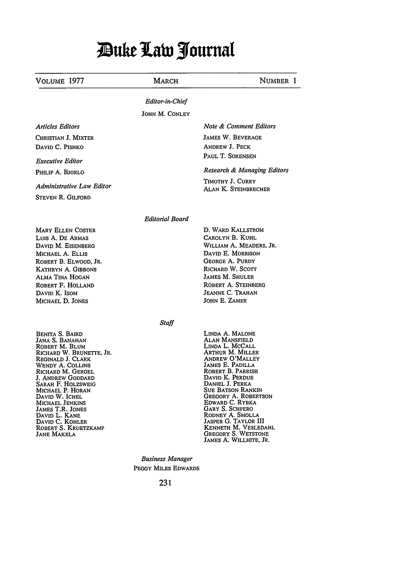## *Puke Law Journal*

| Volume 1977                                                                                                                                                                                                                                                                                                                                       | <b>MARCH</b>            | NUMBER 1                                                                                                                                                                                                                                                                                                                                                                                                       |
|---------------------------------------------------------------------------------------------------------------------------------------------------------------------------------------------------------------------------------------------------------------------------------------------------------------------------------------------------|-------------------------|----------------------------------------------------------------------------------------------------------------------------------------------------------------------------------------------------------------------------------------------------------------------------------------------------------------------------------------------------------------------------------------------------------------|
|                                                                                                                                                                                                                                                                                                                                                   | Editor-in-Chief         |                                                                                                                                                                                                                                                                                                                                                                                                                |
|                                                                                                                                                                                                                                                                                                                                                   | JOHN M. CONLEY          |                                                                                                                                                                                                                                                                                                                                                                                                                |
| <b>Articles Editors</b><br>CHRISTIAN J. MIXTER                                                                                                                                                                                                                                                                                                    |                         | Note & Comment Editors<br><b>JAMES W. BEVERAGE</b>                                                                                                                                                                                                                                                                                                                                                             |
| DAVID C. PISHKO<br><b>Executive Editor</b>                                                                                                                                                                                                                                                                                                        |                         | ANDREW J. PECK<br>PAUL T. SORENSEN                                                                                                                                                                                                                                                                                                                                                                             |
| PHILIP A. BJORLO                                                                                                                                                                                                                                                                                                                                  |                         | Research & Managing Editors                                                                                                                                                                                                                                                                                                                                                                                    |
| <b>Administrative Law Editor</b><br><b>STEVEN R. GILFORD</b>                                                                                                                                                                                                                                                                                      |                         | TIMOTHY J. CURRY<br><b>ALAN K. STEINBRECHER</b>                                                                                                                                                                                                                                                                                                                                                                |
|                                                                                                                                                                                                                                                                                                                                                   | Editorial Board         |                                                                                                                                                                                                                                                                                                                                                                                                                |
| <b>MARY ELLEN COSTER</b><br>LUIS A. DE ARMAS<br>DAVID M. EISENBERG<br>MICHAEL A. ELLIS<br>ROBERT B. ELWOOD, JR.<br><b>KATHRYN A. GIBBONS</b><br><b>ALMA TINA HOGAN</b><br>ROBERT F. HOLLAND<br>DAVID K. ISOM<br>MICHAEL D. JONES                                                                                                                  |                         | D. WARD KALLSTROM<br>CAROLYN B. KUHL<br>WILLIAM A. MEADERS, JR.<br>DAVID E. MORRISON<br><b>GEORGE A. PURDY</b><br>RICHARD W. SCOTT<br><b>JAMES M. SHULER</b><br>ROBERT A. STEINBERG<br>JEANNE C. TRAHAN<br>JOHN E. ZAMER                                                                                                                                                                                       |
|                                                                                                                                                                                                                                                                                                                                                   | Staff                   |                                                                                                                                                                                                                                                                                                                                                                                                                |
| BENITA S. BAIRD<br>Jana S. Banahan<br>ROBERT M. BLUM<br>RICHARD W. BRUNETTE, JR.<br>Reginald J. Clark<br>WENDY A. COLLINS<br>Richard M. Gergel<br>J. ANDREW GODDARD<br>SARAH F. HOLZSWEIG<br>Michael P. Horan<br>David W. Ichel<br>MICHAEL JENKINS<br>JAMES T.R. JONES<br>DAVID L. KANE<br>DAVID C. KOHLER<br>ROBERT S. KRUETZKAMP<br>Jane Makela |                         | LINDA A. MALONE<br>Alan Mansfield<br>LINDA L. MCCALL<br>ARTHUR M. MILLER<br><b>ANDREW O'MALLEY</b><br>JAMES E. PADILLA<br>ROBERT B. PARRISH<br>DAVID K. PERDUE<br>DANIEL J. PERKA<br><b>Sue Batson Rankin</b><br>GREGORY A. ROBERTSON<br>EDWARD C. RYBKA<br><b>GARY S. SCHPERO</b><br>RODNEY A. SMOLLA<br>JASPER G. TAYLOR III<br>KENNETH M. VESLEDAHL<br><b>GREGORY S. WETSTONE</b><br>JAMES A. WILLHITE, JR. |
|                                                                                                                                                                                                                                                                                                                                                   | <b>Business Manager</b> |                                                                                                                                                                                                                                                                                                                                                                                                                |
|                                                                                                                                                                                                                                                                                                                                                   | PEGGY MILES EDWARDS     |                                                                                                                                                                                                                                                                                                                                                                                                                |